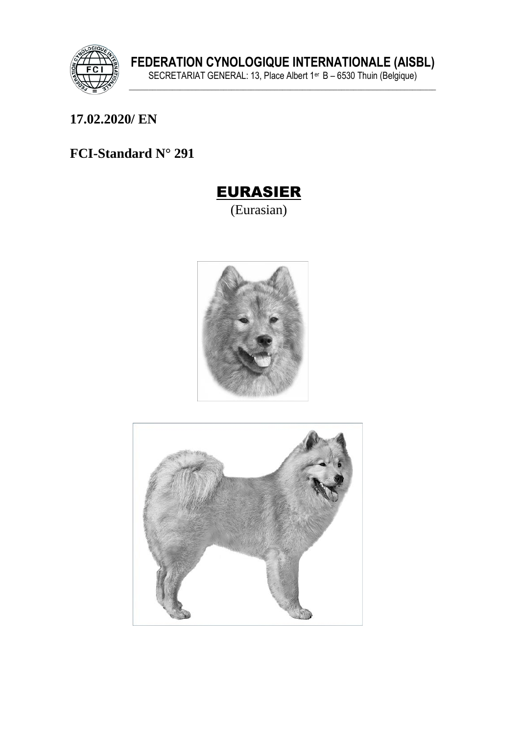

17.02.2020/EN

# FCI-Standard N° 291



(Eurasian)



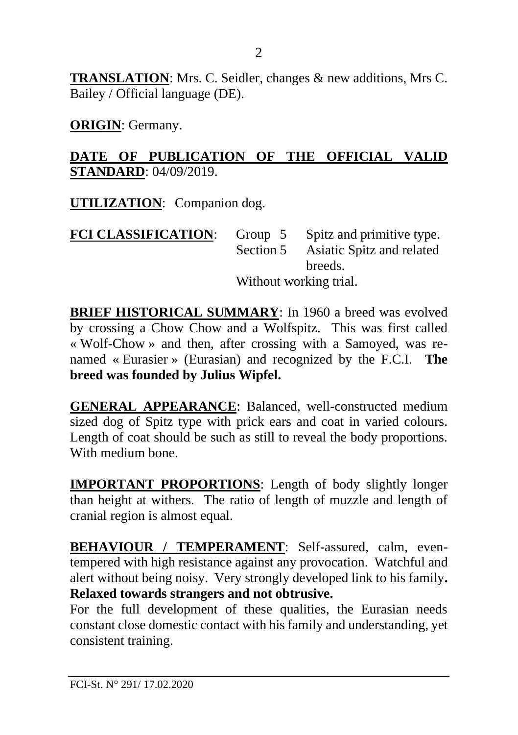**TRANSLATION**: Mrs. C. Seidler, changes & new additions, Mrs C. Bailey / Official language (DE).

**ORIGIN**: Germany.

#### **DATE OF PUBLICATION OF THE OFFICIAL VALID STANDARD**: 04/09/2019.

**UTILIZATION**: Companion dog.

| <b>FCI CLASSIFICATION:</b> | Group $5$ | Spitz and primitive type. |
|----------------------------|-----------|---------------------------|
|                            | Section 5 | Asiatic Spitz and related |
|                            |           | breeds.                   |
|                            |           | Without working trial.    |

**BRIEF HISTORICAL SUMMARY:** In 1960 a breed was evolved by crossing a Chow Chow and a Wolfspitz. This was first called « Wolf-Chow » and then, after crossing with a Samoyed, was renamed « Eurasier » (Eurasian) and recognized by the F.C.I. **The breed was founded by Julius Wipfel.**

**GENERAL APPEARANCE**: Balanced, well-constructed medium sized dog of Spitz type with prick ears and coat in varied colours. Length of coat should be such as still to reveal the body proportions. With medium bone.

**IMPORTANT PROPORTIONS**: Length of body slightly longer than height at withers. The ratio of length of muzzle and length of cranial region is almost equal.

**BEHAVIOUR / TEMPERAMENT**: Self-assured, calm, eventempered with high resistance against any provocation. Watchful and alert without being noisy. Very strongly developed link to his family**. Relaxed towards strangers and not obtrusive.**

For the full development of these qualities, the Eurasian needs constant close domestic contact with his family and understanding, yet consistent training.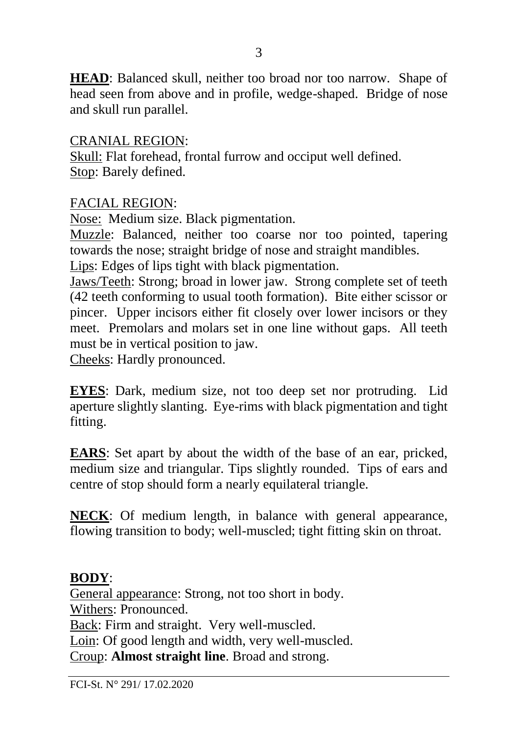**HEAD**: Balanced skull, neither too broad nor too narrow. Shape of head seen from above and in profile, wedge-shaped. Bridge of nose and skull run parallel.

CRANIAL REGION:

Skull: Flat forehead, frontal furrow and occiput well defined. Stop: Barely defined.

#### FACIAL REGION:

Nose: Medium size. Black pigmentation.

Muzzle: Balanced, neither too coarse nor too pointed, tapering towards the nose; straight bridge of nose and straight mandibles.

Lips: Edges of lips tight with black pigmentation.

Jaws/Teeth: Strong; broad in lower jaw. Strong complete set of teeth (42 teeth conforming to usual tooth formation). Bite either scissor or pincer. Upper incisors either fit closely over lower incisors or they meet. Premolars and molars set in one line without gaps. All teeth must be in vertical position to jaw.

Cheeks: Hardly pronounced.

**EYES**: Dark, medium size, not too deep set nor protruding. Lid aperture slightly slanting. Eye-rims with black pigmentation and tight fitting.

**EARS**: Set apart by about the width of the base of an ear, pricked, medium size and triangular. Tips slightly rounded. Tips of ears and centre of stop should form a nearly equilateral triangle.

**NECK**: Of medium length, in balance with general appearance, flowing transition to body; well-muscled; tight fitting skin on throat.

## **BODY**:

General appearance: Strong, not too short in body. Withers: Pronounced. Back: Firm and straight. Very well-muscled. Loin: Of good length and width, very well-muscled. Croup: **Almost straight line**. Broad and strong.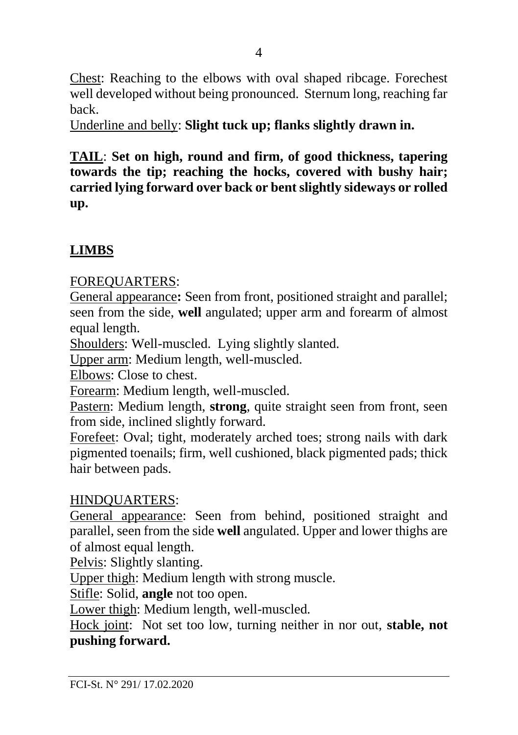Chest: Reaching to the elbows with oval shaped ribcage. Forechest well developed without being pronounced. Sternum long, reaching far back.

Underline and belly: **Slight tuck up; flanks slightly drawn in.** 

**TAIL**: **Set on high, round and firm, of good thickness, tapering towards the tip; reaching the hocks, covered with bushy hair; carried lying forward over back or bent slightly sideways or rolled up.** 

# **LIMBS**

FOREQUARTERS:

General appearance**:** Seen from front, positioned straight and parallel; seen from the side, **well** angulated; upper arm and forearm of almost equal length.

Shoulders: Well-muscled. Lying slightly slanted.

Upper arm: Medium length, well-muscled.

Elbows: Close to chest.

Forearm: Medium length, well-muscled.

Pastern: Medium length, **strong**, quite straight seen from front, seen from side, inclined slightly forward.

Forefeet: Oval; tight, moderately arched toes; strong nails with dark pigmented toenails; firm, well cushioned, black pigmented pads; thick hair between pads.

## HINDQUARTERS:

General appearance: Seen from behind, positioned straight and parallel, seen from the side **well** angulated. Upper and lower thighs are of almost equal length.

Pelvis: Slightly slanting.

Upper thigh: Medium length with strong muscle.

Stifle: Solid, **angle** not too open.

Lower thigh: Medium length, well-muscled.

Hock joint: Not set too low, turning neither in nor out, **stable, not pushing forward.**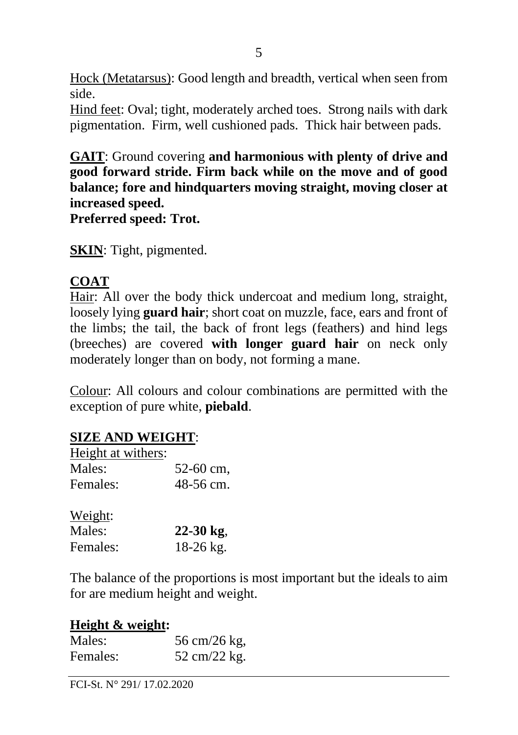Hock (Metatarsus): Good length and breadth, vertical when seen from side.

Hind feet: Oval; tight, moderately arched toes. Strong nails with dark pigmentation. Firm, well cushioned pads. Thick hair between pads.

**GAIT**: Ground covering **and harmonious with plenty of drive and good forward stride. Firm back while on the move and of good balance; fore and hindquarters moving straight, moving closer at increased speed.** 

**Preferred speed: Trot.**

**SKIN**: Tight, pigmented.

## **COAT**

Hair: All over the body thick undercoat and medium long, straight, loosely lying **guard hair**; short coat on muzzle, face, ears and front of the limbs; the tail, the back of front legs (feathers) and hind legs (breeches) are covered **with longer guard hair** on neck only moderately longer than on body, not forming a mane.

Colour: All colours and colour combinations are permitted with the exception of pure white, **piebald**.

## **SIZE AND WEIGHT**:

| Height at withers: |           |
|--------------------|-----------|
| Males:             | 52-60 cm. |
| Females:           | 48-56 cm. |

| Weight:  |             |
|----------|-------------|
| Males:   | $22-30$ kg, |
| Females: | $18-26$ kg. |

The balance of the proportions is most important but the ideals to aim for are medium height and weight.

#### **Height & weight:**

| Males:   | 56 cm/26 kg, |
|----------|--------------|
| Females: | 52 cm/22 kg. |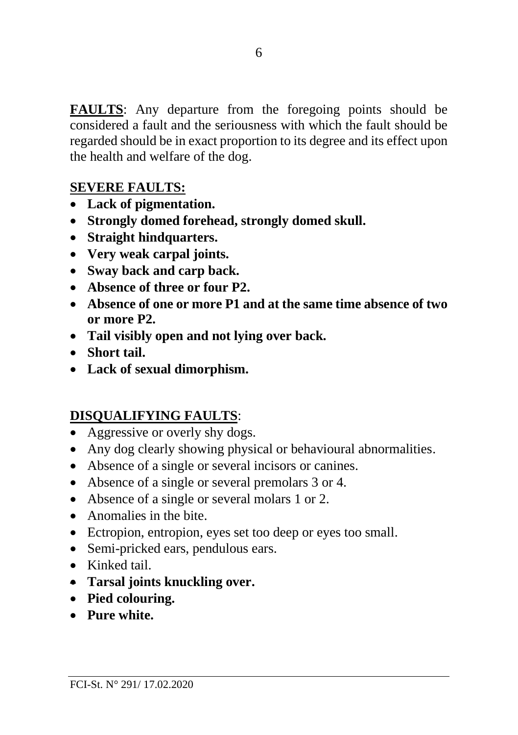**FAULTS**: Any departure from the foregoing points should be considered a fault and the seriousness with which the fault should be regarded should be in exact proportion to its degree and its effect upon the health and welfare of the dog.

## **SEVERE FAULTS:**

- **Lack of pigmentation.**
- **Strongly domed forehead, strongly domed skull.**
- **Straight hindquarters.**
- **Very weak carpal joints.**
- **Sway back and carp back.**
- **Absence of three or four P2.**
- **Absence of one or more P1 and at the same time absence of two or more P2.**
- **Tail visibly open and not lying over back.**
- **Short tail.**
- **Lack of sexual dimorphism.**

## **DISQUALIFYING FAULTS**:

- Aggressive or overly shy dogs.
- Any dog clearly showing physical or behavioural abnormalities.
- Absence of a single or several incisors or canines.
- Absence of a single or several premolars 3 or 4.
- Absence of a single or several molars 1 or 2.
- Anomalies in the bite.
- Ectropion, entropion, eyes set too deep or eyes too small.
- Semi-pricked ears, pendulous ears.
- Kinked tail.
- **Tarsal joints knuckling over.**
- **Pied colouring.**
- **Pure white.**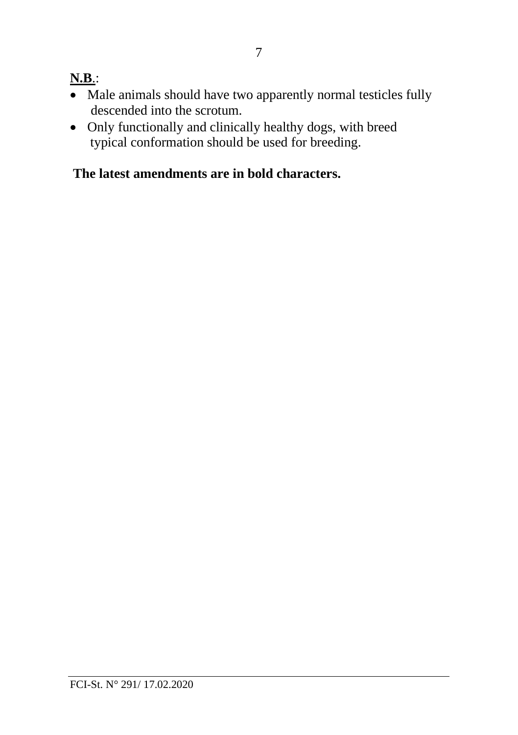## **N.B**.:

- Male animals should have two apparently normal testicles fully descended into the scrotum.
- Only functionally and clinically healthy dogs, with breed typical conformation should be used for breeding.

# **The latest amendments are in bold characters.**